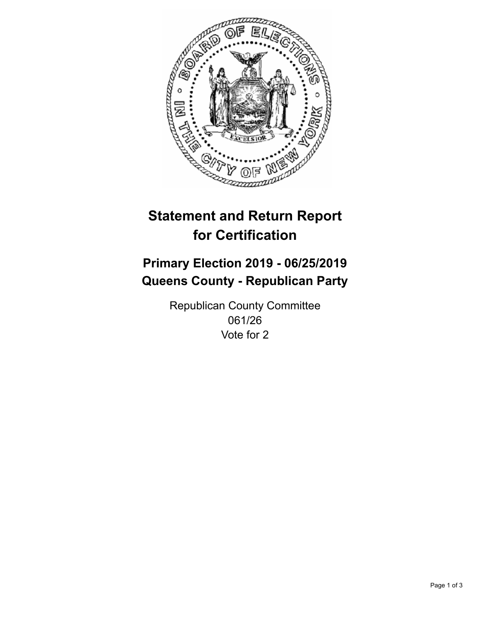

## **Statement and Return Report for Certification**

## **Primary Election 2019 - 06/25/2019 Queens County - Republican Party**

Republican County Committee 061/26 Vote for 2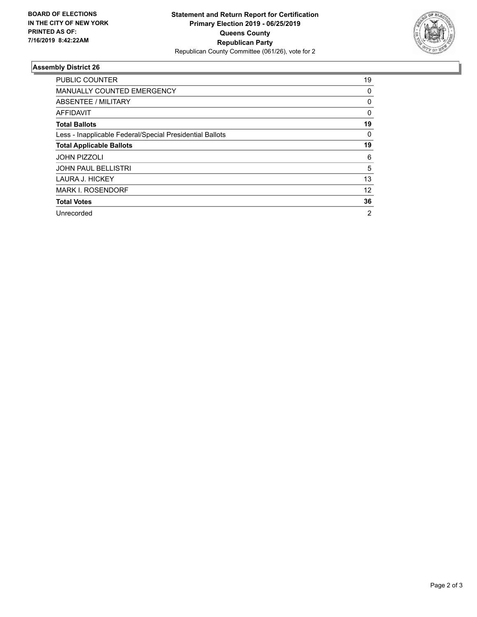

## **Assembly District 26**

| <b>PUBLIC COUNTER</b>                                    | 19             |
|----------------------------------------------------------|----------------|
| <b>MANUALLY COUNTED EMERGENCY</b>                        | 0              |
| ABSENTEE / MILITARY                                      | 0              |
| AFFIDAVIT                                                | $\Omega$       |
| <b>Total Ballots</b>                                     | 19             |
| Less - Inapplicable Federal/Special Presidential Ballots | 0              |
| <b>Total Applicable Ballots</b>                          | 19             |
| <b>JOHN PIZZOLI</b>                                      | 6              |
| <b>JOHN PAUL BELLISTRI</b>                               | 5              |
| <b>LAURA J. HICKEY</b>                                   | 13             |
| <b>MARK I. ROSENDORF</b>                                 | 12             |
| <b>Total Votes</b>                                       | 36             |
| Unrecorded                                               | $\overline{2}$ |